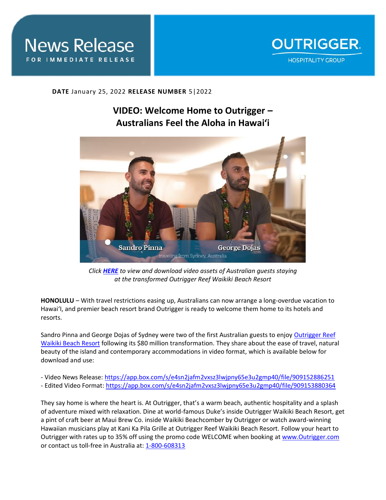



## **DATE** January 25, 2022 **RELEASE NUMBER** 5|2022

## **VIDEO: Welcome Home to Outrigger – Australians Feel the Aloha in Hawai'i**



*Click [HERE](https://app.box.com/s/e4sn2jafm2vxsz3lwjpny65e3u2gmp40/folder/154584338884) to view and download video assets of Australian guests staying at the transformed Outrigger Reef Waikiki Beach Resort* 

**HONOLULU** – With travel restrictions easing up, Australians can now arrange a long-overdue vacation to Hawai'I, and premier beach resort brand Outrigger is ready to welcome them home to its hotels and resorts.

Sandro Pinna and George Dojas of Sydney were two of the first Australian guests to enjoy [Outrigger Reef](https://www.outrigger.com/hotels-resorts/hawaii/oahu/outrigger-reef-waikiki-beach-resort)  [Waikiki Beach Resort](https://www.outrigger.com/hotels-resorts/hawaii/oahu/outrigger-reef-waikiki-beach-resort) following its \$80 million transformation. They share about the ease of travel, natural beauty of the island and contemporary accommodations in video format, which is available below for download and use:

- Video News Release:<https://app.box.com/s/e4sn2jafm2vxsz3lwjpny65e3u2gmp40/file/909152886251>
- Edited Video Format:<https://app.box.com/s/e4sn2jafm2vxsz3lwjpny65e3u2gmp40/file/909153880364>

They say home is where the heart is. At Outrigger, that's a warm beach, authentic hospitality and a splash of adventure mixed with relaxation. Dine at world-famous Duke's inside Outrigger Waikiki Beach Resort, get a pint of craft beer at Maui Brew Co. inside Waikiki Beachcomber by Outrigger or watch award-winning Hawaiian musicians play at Kani Ka Pila Grille at Outrigger Reef Waikiki Beach Resort. Follow your heart to Outrigger with rates up to 35% off using the promo code WELCOME when booking a[t www.Outrigger.com](http://www.outrigger.com/) or contact us toll-free in Australia at: [1-800-608313](tel:1800608313)